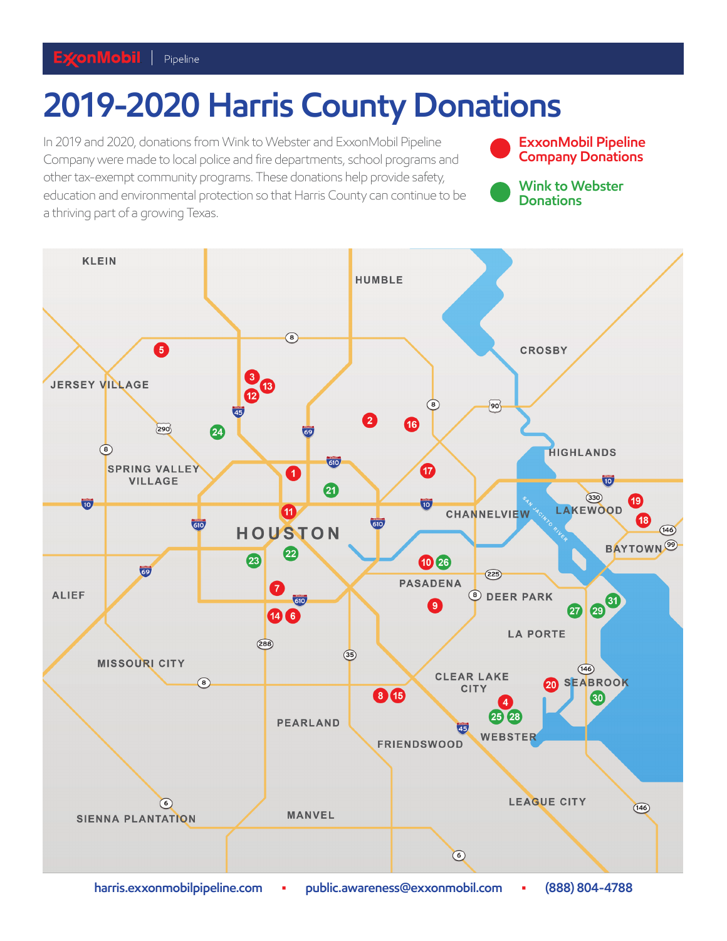## **2019-2020 Harris County Donations**

In 2019 and 2020, donations from Wink to Webster and ExxonMobil Pipeline Company were made to local police and fire departments, school programs and other tax-exempt community programs. These donations help provide safety, education and environmental protection so that Harris County can continue to be a thriving part of a growing Texas.

**ExxonMobil Pipeline Company Donations** 

**Wink to Webster Donations**